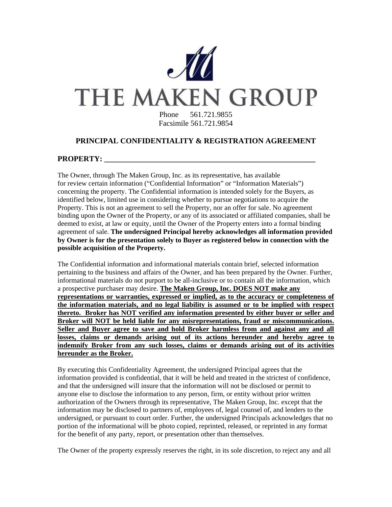

# **PRINCIPAL CONFIDENTIALITY & REGISTRATION AGREEMENT**

## PROPERTY:

The Owner, through The Maken Group, Inc. as its representative, has available for review certain information ("Confidential Information" or "Information Materials") concerning the property. The Confidential information is intended solely for the Buyers, as identified below, limited use in considering whether to pursue negotiations to acquire the Property. This is not an agreement to sell the Property, nor an offer for sale. No agreement binding upon the Owner of the Property, or any of its associated or affiliated companies, shall be deemed to exist, at law or equity, until the Owner of the Property enters into a formal binding agreement of sale. **The undersigned Principal hereby acknowledges all information provided by Owner is for the presentation solely to Buyer as registered below in connection with the possible acquisition of the Property.** 

The Confidential information and informational materials contain brief, selected information pertaining to the business and affairs of the Owner, and has been prepared by the Owner. Further, informational materials do not purport to be all-inclusive or to contain all the information, which a prospective purchaser may desire. **The Maken Group, Inc. DOES NOT make any representations or warranties, expressed or implied, as to the accuracy or completeness of the information materials, and no legal liability is assumed or to be implied with respect thereto. Broker has NOT verified any information presented by either buyer or seller and Broker will NOT be held liable for any misrepresentations, fraud or miscommunications. Seller and Buyer agree to save and hold Broker harmless from and against any and all losses, claims or demands arising out of its actions hereunder and hereby agree to indemnify Broker from any such losses, claims or demands arising out of its activities hereunder as the Broker.**

By executing this Confidentiality Agreement, the undersigned Principal agrees that the information provided is confidential, that it will be held and treated in the strictest of confidence, and that the undersigned will insure that the information will not be disclosed or permit to anyone else to disclose the information to any person, firm, or entity without prior written authorization of the Owners through its representative, The Maken Group, Inc. except that the information may be disclosed to partners of, employees of, legal counsel of, and lenders to the undersigned, or pursuant to court order. Further, the undersigned Principals acknowledges that no portion of the informational will be photo copied, reprinted, released, or reprinted in any format for the benefit of any party, report, or presentation other than themselves.

The Owner of the property expressly reserves the right, in its sole discretion, to reject any and all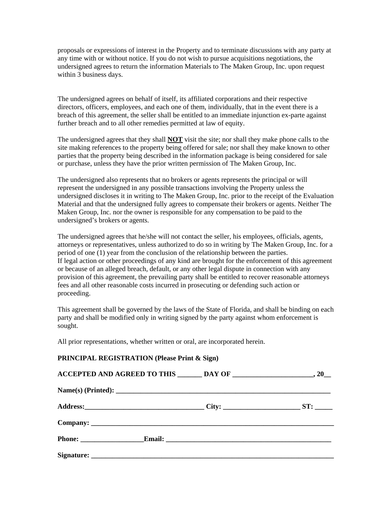proposals or expressions of interest in the Property and to terminate discussions with any party at any time with or without notice. If you do not wish to pursue acquisitions negotiations, the undersigned agrees to return the information Materials to The Maken Group, Inc. upon request within 3 business days.

The undersigned agrees on behalf of itself, its affiliated corporations and their respective directors, officers, employees, and each one of them, individually, that in the event there is a breach of this agreement, the seller shall be entitled to an immediate injunction ex-parte against further breach and to all other remedies permitted at law of equity.

The undersigned agrees that they shall **NOT** visit the site; nor shall they make phone calls to the site making references to the property being offered for sale; nor shall they make known to other parties that the property being described in the information package is being considered for sale or purchase, unless they have the prior written permission of The Maken Group, Inc.

The undersigned also represents that no brokers or agents represents the principal or will represent the undersigned in any possible transactions involving the Property unless the undersigned discloses it in writing to The Maken Group, Inc. prior to the receipt of the Evaluation Material and that the undersigned fully agrees to compensate their brokers or agents. Neither The Maken Group, Inc. nor the owner is responsible for any compensation to be paid to the undersigned's brokers or agents.

The undersigned agrees that he/she will not contact the seller, his employees, officials, agents, attorneys or representatives, unless authorized to do so in writing by The Maken Group, Inc. for a period of one (1) year from the conclusion of the relationship between the parties. If legal action or other proceedings of any kind are brought for the enforcement of this agreement or because of an alleged breach, default, or any other legal dispute in connection with any provision of this agreement, the prevailing party shall be entitled to recover reasonable attorneys fees and all other reasonable costs incurred in prosecuting or defending such action or proceeding.

This agreement shall be governed by the laws of the State of Florida, and shall be binding on each party and shall be modified only in writing signed by the party against whom enforcement is sought.

All prior representations, whether written or oral, are incorporated herein.

#### **PRINCIPAL REGISTRATION (Please Print & Sign)**

| Name(s) (Printed):          |  |
|-----------------------------|--|
|                             |  |
|                             |  |
| <b>Phone:</b> Email: Email: |  |
|                             |  |